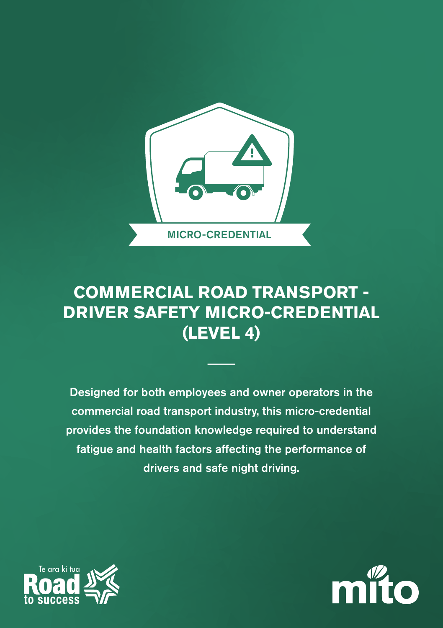

## **COMMERCIAL ROAD TRANSPORT - DRIVER SAFETY MICRO-CREDENTIAL (LEVEL 4)**

Designed for both employees and owner operators in the commercial road transport industry, this micro-credential provides the foundation knowledge required to understand fatigue and health factors affecting the performance of drivers and safe night driving.